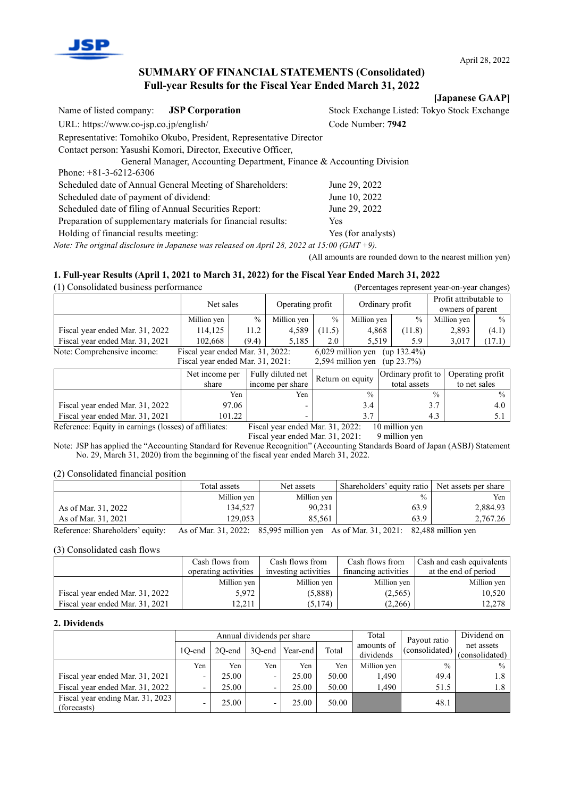

**[Japanese GAAP]**

# **SUMMARY OF FINANCIAL STATEMENTS (Consolidated) Full-year Results for the Fiscal Year Ended March 31, 2022**

Name of listed company: **JSP Corporation** Stock Exchange Listed: Tokyo Stock Exchange URL: https://www.co-jsp.co.jp/english/ Code Number: **7942** Representative: Tomohiko Okubo, President, Representative Director Contact person: Yasushi Komori, Director, Executive Officer, General Manager, Accounting Department, Finance & Accounting Division Phone: +81-3-6212-6306 Scheduled date of Annual General Meeting of Shareholders: June 29, 2022 Scheduled date of payment of dividend: June 10, 2022 Scheduled date of filing of Annual Securities Report: June 29, 2022 Preparation of supplementary materials for financial results: Yes Holding of financial results meeting: Yes (for analysts)

*Note: The original disclosure in Japanese was released on April 28, 2022 at 15:00 (GMT +9).*

(All amounts are rounded down to the nearest million yen)

#### **1. Full-year Results (April 1, 2021 to March 31, 2022) for the Fiscal Year Ended March 31, 2022**

(1) Consolidated business performance (Percentages represent year-on-year changes) Net sales Operating profit Ordinary profit Profit attributable to owners of parent Million yen  $\begin{array}{|c|c|c|c|c|c|c|c|c|} \hline \end{array}$  Million yen  $\begin{array}{|c|c|c|c|c|c|c|c|} \hline \end{array}$  % Million yen  $\begin{array}{|c|c|c|c|c|c|c|c|} \hline \end{array}$  % Million yen  $\begin{array}{|c|c|c|c|c|c|c|c|} \hline \end{array}$  % Million yen  $\begin{array}{|c|c|c|c|c|c$ Fiscal year ended Mar. 31, 2022 | 114,125 | 11.2 | 4,589  $|(11.5)$  | 4,868  $|(11.8)$  | 2,893 |  $(4.1)$ Fiscal year ended Mar. 31, 2021 102,668 (9.4) 5,185 2.0 5,519 5.9 5.9 3,017 (17.1)<br>Note: Comprehensive income: Fiscal year ended Mar. 31, 2022: 6,029 million yen (up 132.4%) Note: Comprehensive income: Fiscal year ended Mar. 31, 2022: 6,029 million yen Fiscal year ended Mar. 31, 2021: 2,594 million yen (up 23.7%) Net income per share Fully diluted net Fully diluted net  $\begin{array}{c|c} \text{Fully diucted net} \\ \text{income per share} \end{array}$  Return on equity  $\begin{array}{c} \text{Ordinary profit to} \\ \text{total assets} \end{array}$ total assets Operating profit to net sales Yen Yen  $\%$   $\%$   $\%$ Fiscal year ended Mar. 31, 2022  $\begin{vmatrix} 97.06 \\ 4.0 \end{vmatrix}$   $\begin{vmatrix} -1 \\ 3.4 \end{vmatrix}$  3.7 4.0

Fiscal year ended Mar. 31, 2021 | 101.22 | 3.7 | 4.3 | 5.1 Reference: Equity in earnings (losses) of affiliates: Fiscal year ended Mar. 31, 2022: 10 million yen Fiscal year ended Mar. 31, 2021: 9 million yen

Note: JSP has applied the "Accounting Standard for Revenue Recognition" (Accounting Standards Board of Japan (ASBJ) Statement No. 29, March 31, 2020) from the beginning of the fiscal year ended March 31, 2022.

(2) Consolidated financial position

|                                  | Total assets                                                                    | Net assets  |               | Shareholders' equity ratio   Net assets per share |
|----------------------------------|---------------------------------------------------------------------------------|-------------|---------------|---------------------------------------------------|
|                                  | Million yen                                                                     | Million yen | $\frac{0}{0}$ | Yen                                               |
| As of Mar. 31, 2022              | 134,527                                                                         | 90,231      | 63.9          | 2,884.93                                          |
| As of Mar. 31, 2021              | 129,053                                                                         | 85.561      | 63.9          | 2,767.26                                          |
| Reference: Shareholders' equity: | As of Mar. 31, 2022: 85,995 million yen As of Mar. 31, 2021: 82,488 million yen |             |               |                                                   |

(3) Consolidated cash flows

|                                 | Cash flows from      | Cash flows from      | Cash flows from      | Cash and cash equivalents |
|---------------------------------|----------------------|----------------------|----------------------|---------------------------|
|                                 | operating activities | investing activities | financing activities | at the end of period      |
|                                 | Million yen          | Million yen          | Million yen          | Million yen               |
| Fiscal year ended Mar. 31, 2022 | 5.972                | (5,888)              | (2, 565)             | 10,520                    |
| Fiscal year ended Mar. 31, 2021 | 12.211               | (5,174)              | (2,266)              | 12.278                    |

#### **2. Dividends**

|                                                 |                          | Annual dividends per share |                          |                 |       |                         | Payout ratio   | Dividend on                  |
|-------------------------------------------------|--------------------------|----------------------------|--------------------------|-----------------|-------|-------------------------|----------------|------------------------------|
|                                                 | 10-end                   | 20-end                     |                          | 3O-end Year-end | Total | amounts of<br>dividends | (consolidated) | net assets<br>(consolidated) |
|                                                 | Yen                      | Yen                        | Yen                      | Yen             | Yen   | Million yen             | $\frac{0}{0}$  | $\frac{0}{0}$                |
| Fiscal year ended Mar. 31, 2021                 | $\overline{\phantom{a}}$ | 25.00                      | $\overline{\phantom{0}}$ | 25.00           | 50.00 | 1,490                   | 49.4           | 1.8                          |
| Fiscal year ended Mar. 31, 2022                 | $\overline{\phantom{a}}$ | 25.00                      |                          | 25.00           | 50.00 | 1.490                   | 51.5           | 1.8                          |
| Fiscal year ending Mar. 31, 2023<br>(forecasts) | $\overline{\phantom{0}}$ | 25.00                      | ۰                        | 25.00           | 50.00 |                         | 48.1           |                              |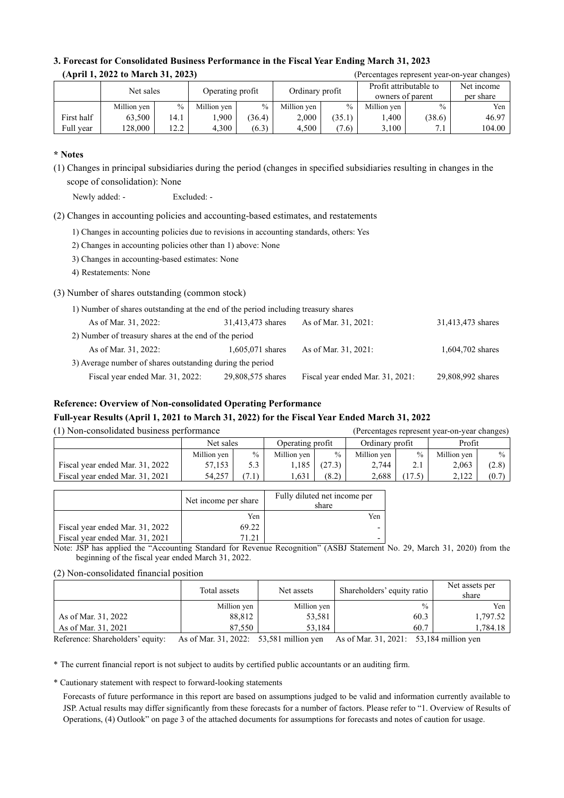| (April 1, 2022 to March 31, 2023) |             |                               |             |               |                 |               |                                            |               | (Percentages represent year-on-year changes) |
|-----------------------------------|-------------|-------------------------------|-------------|---------------|-----------------|---------------|--------------------------------------------|---------------|----------------------------------------------|
|                                   |             | Net sales<br>Operating profit |             |               | Ordinary profit |               | Profit attributable to<br>owners of parent |               |                                              |
|                                   | Million yen | $\frac{0}{0}$                 | Million yen | $\frac{0}{0}$ | Million yen     | $\frac{0}{0}$ | Million yen                                | $\frac{0}{0}$ | Yen                                          |
| First half                        | 63.500      | 14.1                          | .900        | (36.4)        | 2.000           | (35.1)        | .400                                       | (38.6)        | 46.97                                        |
| Full year                         | 128,000     | 12.2                          | 4.300       | (6.3)         | 4.500           | (7.6)         | 3.100                                      | 7.1           | 104.00                                       |

# **3. Forecast for Consolidated Business Performance in the Fiscal Year Ending March 31, 2023**

## **\* Notes**

(1) Changes in principal subsidiaries during the period (changes in specified subsidiaries resulting in changes in the scope of consolidation): None

Newly added: - Excluded: -

(2) Changes in accounting policies and accounting-based estimates, and restatements

1) Changes in accounting policies due to revisions in accounting standards, others: Yes

2) Changes in accounting policies other than 1) above: None

3) Changes in accounting-based estimates: None

4) Restatements: None

(3) Number of shares outstanding (common stock)

| 1) Number of shares outstanding at the end of the period including treasury shares |                   |                                  |                   |  |  |  |  |
|------------------------------------------------------------------------------------|-------------------|----------------------------------|-------------------|--|--|--|--|
| As of Mar. 31, 2022:                                                               | 31,413,473 shares | As of Mar. 31, 2021:             | 31,413,473 shares |  |  |  |  |
| 2) Number of treasury shares at the end of the period                              |                   |                                  |                   |  |  |  |  |
| As of Mar. 31, 2022:                                                               | 1,605,071 shares  | As of Mar. 31, 2021:             | 1,604,702 shares  |  |  |  |  |
| 3) Average number of shares outstanding during the period                          |                   |                                  |                   |  |  |  |  |
| Fiscal year ended Mar. 31, 2022:                                                   | 29,808,575 shares | Fiscal year ended Mar. 31, 2021: | 29,808,992 shares |  |  |  |  |

# **Reference: Overview of Non-consolidated Operating Performance**

# **Full-year Results (April 1, 2021 to March 31, 2022) for the Fiscal Year Ended March 31, 2022**

| (1) Non-consolidated business performance |             |               |                  |               |                 |               | (Percentages represent year-on-year changes) |               |
|-------------------------------------------|-------------|---------------|------------------|---------------|-----------------|---------------|----------------------------------------------|---------------|
|                                           | Net sales   |               | Operating profit |               | Ordinary profit |               | Profit                                       |               |
|                                           | Million yen | $\frac{0}{0}$ | Million ven      | $\frac{0}{0}$ | Million yen     | $\frac{0}{0}$ | Million yen                                  | $\frac{0}{0}$ |
| Fiscal year ended Mar. 31, 2022           | 57.153      | 5.3           | 1.185            | (27.3)        | 2.744           | 2.1           | 2.063                                        | (2.8)         |
| Fiscal year ended Mar. 31, 2021           | 54.257      | (7.1)         | .,631            | (8.2)         | 2,688           | 17.5)         | 2.122                                        | (0.7)         |

|                                 | Net income per share | Fully diluted net income per<br>share |
|---------------------------------|----------------------|---------------------------------------|
|                                 | Yen                  | Yen                                   |
| Fiscal year ended Mar. 31, 2022 | 69.22                |                                       |
| Fiscal year ended Mar. 31, 2021 |                      |                                       |

Note: JSP has applied the "Accounting Standard for Revenue Recognition" (ASBJ Statement No. 29, March 31, 2020) from the beginning of the fiscal year ended March 31, 2022.

#### (2) Non-consolidated financial position

|                     | Total assets | Net assets  | Shareholders' equity ratio | Net assets per<br>share |
|---------------------|--------------|-------------|----------------------------|-------------------------|
|                     | Million yen  | Million yen | $\frac{0}{0}$              | Yen                     |
| As of Mar. 31, 2022 | 88.812       | 53,581      | 60.3                       | 1.797.52                |
| As of Mar. 31, 2021 | 87.550       | 53.184      | 60.7                       | ا 784.18,               |

Reference: Shareholders' equity: As of Mar. 31, 2022: 53,581 million yen As of Mar. 31, 2021: 53,184 million yen

\* The current financial report is not subject to audits by certified public accountants or an auditing firm.

\* Cautionary statement with respect to forward-looking statements

Forecasts of future performance in this report are based on assumptions judged to be valid and information currently available to JSP. Actual results may differ significantly from these forecasts for a number of factors. Please refer to "1. Overview of Results of Operations, (4) Outlook" on page 3 of the attached documents for assumptions for forecasts and notes of caution for usage.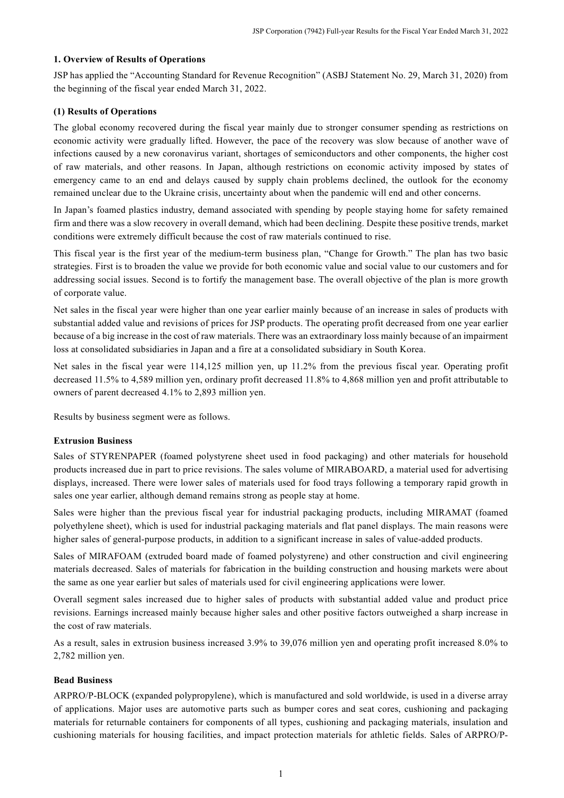#### **1. Overview of Results of Operations**

JSP has applied the "Accounting Standard for Revenue Recognition" (ASBJ Statement No. 29, March 31, 2020) from the beginning of the fiscal year ended March 31, 2022.

#### **(1) Results of Operations**

The global economy recovered during the fiscal year mainly due to stronger consumer spending as restrictions on economic activity were gradually lifted. However, the pace of the recovery was slow because of another wave of infections caused by a new coronavirus variant, shortages of semiconductors and other components, the higher cost of raw materials, and other reasons. In Japan, although restrictions on economic activity imposed by states of emergency came to an end and delays caused by supply chain problems declined, the outlook for the economy remained unclear due to the Ukraine crisis, uncertainty about when the pandemic will end and other concerns.

In Japan's foamed plastics industry, demand associated with spending by people staying home for safety remained firm and there was a slow recovery in overall demand, which had been declining. Despite these positive trends, market conditions were extremely difficult because the cost of raw materials continued to rise.

This fiscal year is the first year of the medium-term business plan, "Change for Growth." The plan has two basic strategies. First is to broaden the value we provide for both economic value and social value to our customers and for addressing social issues. Second is to fortify the management base. The overall objective of the plan is more growth of corporate value.

Net sales in the fiscal year were higher than one year earlier mainly because of an increase in sales of products with substantial added value and revisions of prices for JSP products. The operating profit decreased from one year earlier because of a big increase in the cost of raw materials. There was an extraordinary loss mainly because of an impairment loss at consolidated subsidiaries in Japan and a fire at a consolidated subsidiary in South Korea.

Net sales in the fiscal year were 114,125 million yen, up 11.2% from the previous fiscal year. Operating profit decreased 11.5% to 4,589 million yen, ordinary profit decreased 11.8% to 4,868 million yen and profit attributable to owners of parent decreased 4.1% to 2,893 million yen.

Results by business segment were as follows.

#### **Extrusion Business**

Sales of STYRENPAPER (foamed polystyrene sheet used in food packaging) and other materials for household products increased due in part to price revisions. The sales volume of MIRABOARD, a material used for advertising displays, increased. There were lower sales of materials used for food trays following a temporary rapid growth in sales one year earlier, although demand remains strong as people stay at home.

Sales were higher than the previous fiscal year for industrial packaging products, including MIRAMAT (foamed polyethylene sheet), which is used for industrial packaging materials and flat panel displays. The main reasons were higher sales of general-purpose products, in addition to a significant increase in sales of value-added products.

Sales of MIRAFOAM (extruded board made of foamed polystyrene) and other construction and civil engineering materials decreased. Sales of materials for fabrication in the building construction and housing markets were about the same as one year earlier but sales of materials used for civil engineering applications were lower.

Overall segment sales increased due to higher sales of products with substantial added value and product price revisions. Earnings increased mainly because higher sales and other positive factors outweighed a sharp increase in the cost of raw materials.

As a result, sales in extrusion business increased 3.9% to 39,076 million yen and operating profit increased 8.0% to 2,782 million yen.

#### **Bead Business**

ARPRO/P-BLOCK (expanded polypropylene), which is manufactured and sold worldwide, is used in a diverse array of applications. Major uses are automotive parts such as bumper cores and seat cores, cushioning and packaging materials for returnable containers for components of all types, cushioning and packaging materials, insulation and cushioning materials for housing facilities, and impact protection materials for athletic fields. Sales of ARPRO/P-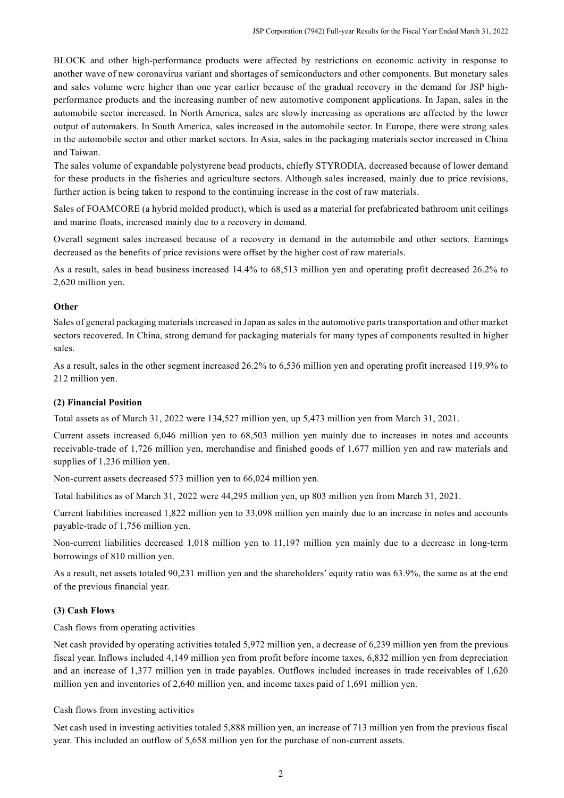BLOCK and other high-performance products were affected by restrictions on economic activity in response to another wave of new coronavirus variant and shortages of semiconductors and other components. But monetary sales and sales volume were higher than one year earlier because of the gradual recovery in the demand for JSP highperformance products and the increasing number of new automotive component applications. In Japan, sales in the automobile sector increased. In North America, sales are slowly increasing as operations are affected by the lower output of automakers. In South America, sales increased in the automobile sector. In Europe, there were strong sales in the automobile sector and other market sectors. In Asia, sales in the packaging materials sector increased in China and Taiwan.

The sales volume of expandable polystyrene bead products, chiefly STYRODIA, decreased because of lower demand for these products in the fisheries and agriculture sectors. Although sales increased, mainly due to price revisions, further action is being taken to respond to the continuing increase in the cost of raw materials.

Sales of FOAMCORE (a hybrid molded product), which is used as a material for prefabricated bathroom unit ceilings and marine floats, increased mainly due to a recovery in demand.

Overall segment sales increased because of a recovery in demand in the automobile and other sectors. Earnings decreased as the benefits of price revisions were offset by the higher cost of raw materials.

As a result, sales in bead business increased 14.4% to 68,513 million yen and operating profit decreased 26.2% to 2,620 million yen.

#### **Other**

Sales of general packaging materials increased in Japan as sales in the automotive parts transportation and other market sectors recovered. In China, strong demand for packaging materials for many types of components resulted in higher sales.

As a result, sales in the other segment increased 26.2% to 6,536 million yen and operating profit increased 119.9% to 212 million yen.

#### **(2) Financial Position**

Total assets as of March 31, 2022 were 134,527 million yen, up 5,473 million yen from March 31, 2021.

Current assets increased 6,046 million yen to 68,503 million yen mainly due to increases in notes and accounts receivable-trade of 1,726 million yen, merchandise and finished goods of 1,677 million yen and raw materials and supplies of 1,236 million yen.

Non-current assets decreased 573 million yen to 66,024 million yen.

Total liabilities as of March 31, 2022 were 44,295 million yen, up 803 million yen from March 31, 2021.

Current liabilities increased 1,822 million yen to 33,098 million yen mainly due to an increase in notes and accounts payable-trade of 1,756 million yen.

Non-current liabilities decreased 1,018 million yen to 11,197 million yen mainly due to a decrease in long-term borrowings of 810 million yen.

As a result, net assets totaled 90,231 million yen and the shareholders' equity ratio was 63.9%, the same as at the end of the previous financial year.

#### **(3) Cash Flows**

Cash flows from operating activities

Net cash provided by operating activities totaled 5,972 million yen, a decrease of 6,239 million yen from the previous fiscal year. Inflows included 4,149 million yen from profit before income taxes, 6,832 million yen from depreciation and an increase of 1,377 million yen in trade payables. Outflows included increases in trade receivables of 1,620 million yen and inventories of 2,640 million yen, and income taxes paid of 1,691 million yen.

#### Cash flows from investing activities

Net cash used in investing activities totaled 5,888 million yen, an increase of 713 million yen from the previous fiscal year. This included an outflow of 5,658 million yen for the purchase of non-current assets.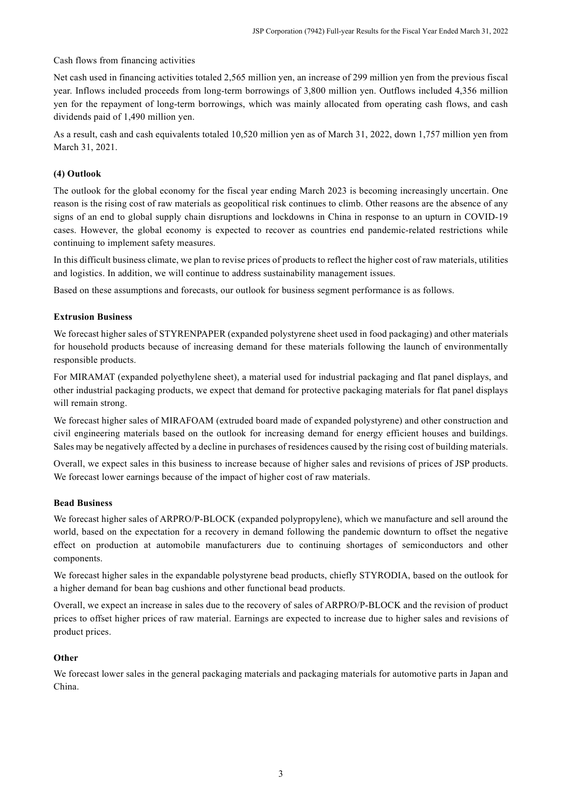### Cash flows from financing activities

Net cash used in financing activities totaled 2,565 million yen, an increase of 299 million yen from the previous fiscal year. Inflows included proceeds from long-term borrowings of 3,800 million yen. Outflows included 4,356 million yen for the repayment of long-term borrowings, which was mainly allocated from operating cash flows, and cash dividends paid of 1,490 million yen.

As a result, cash and cash equivalents totaled 10,520 million yen as of March 31, 2022, down 1,757 million yen from March 31, 2021.

### **(4) Outlook**

The outlook for the global economy for the fiscal year ending March 2023 is becoming increasingly uncertain. One reason is the rising cost of raw materials as geopolitical risk continues to climb. Other reasons are the absence of any signs of an end to global supply chain disruptions and lockdowns in China in response to an upturn in COVID-19 cases. However, the global economy is expected to recover as countries end pandemic-related restrictions while continuing to implement safety measures.

In this difficult business climate, we plan to revise prices of products to reflect the higher cost of raw materials, utilities and logistics. In addition, we will continue to address sustainability management issues.

Based on these assumptions and forecasts, our outlook for business segment performance is as follows.

### **Extrusion Business**

We forecast higher sales of STYRENPAPER (expanded polystyrene sheet used in food packaging) and other materials for household products because of increasing demand for these materials following the launch of environmentally responsible products.

For MIRAMAT (expanded polyethylene sheet), a material used for industrial packaging and flat panel displays, and other industrial packaging products, we expect that demand for protective packaging materials for flat panel displays will remain strong.

We forecast higher sales of MIRAFOAM (extruded board made of expanded polystyrene) and other construction and civil engineering materials based on the outlook for increasing demand for energy efficient houses and buildings. Sales may be negatively affected by a decline in purchases of residences caused by the rising cost of building materials.

Overall, we expect sales in this business to increase because of higher sales and revisions of prices of JSP products. We forecast lower earnings because of the impact of higher cost of raw materials.

#### **Bead Business**

We forecast higher sales of ARPRO/P-BLOCK (expanded polypropylene), which we manufacture and sell around the world, based on the expectation for a recovery in demand following the pandemic downturn to offset the negative effect on production at automobile manufacturers due to continuing shortages of semiconductors and other components.

We forecast higher sales in the expandable polystyrene bead products, chiefly STYRODIA, based on the outlook for a higher demand for bean bag cushions and other functional bead products.

Overall, we expect an increase in sales due to the recovery of sales of ARPRO/P-BLOCK and the revision of product prices to offset higher prices of raw material. Earnings are expected to increase due to higher sales and revisions of product prices.

#### **Other**

We forecast lower sales in the general packaging materials and packaging materials for automotive parts in Japan and China.